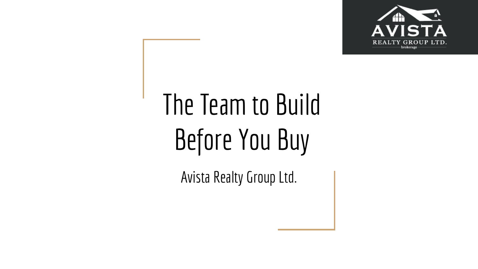

# The Team to Build Before You Buy

Avista Realty Group Ltd.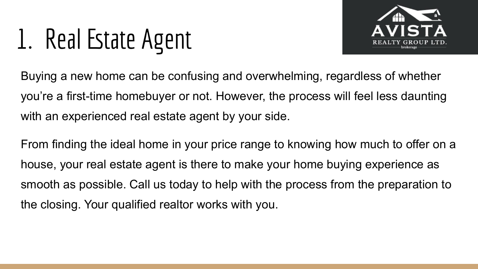## 1. Real Estate Agent



Buying a new home can be confusing and overwhelming, regardless of whether you're a [first-time homebuyer](https://www.redfin.com/guides/first-time-home-buyer-guide) or not. However, the process will feel less daunting with an experienced real estate agent by your side.

From finding the ideal home in your price range to knowing [how much to offer on a](https://www.redfin.com/blog/how-much-to-offer-on-a-house/) [house](https://www.redfin.com/blog/how-much-to-offer-on-a-house/), your real estate agent is there to make your home buying experience as smooth as possible. Call us today to help with the process from the preparation to the closing. Your qualified realtor works with you.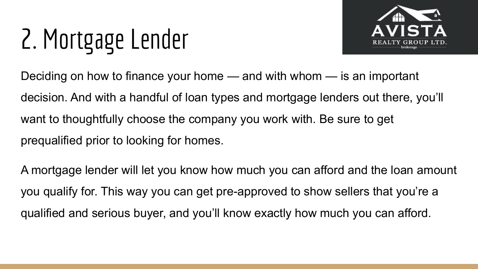# 2. Mortgage Lender



Deciding on how to finance your home — and with whom — is an important decision. And with a handful of loan types and mortgage lenders out there, you'll want to thoughtfully choose the company you work with. Be sure to get prequalified prior to looking for homes.

A mortgage lender will let you know how much you can afford and the loan amount you qualify for. This way you can get pre-approved to show sellers that you're a qualified and serious buyer, and you'll know exactly how much you can afford.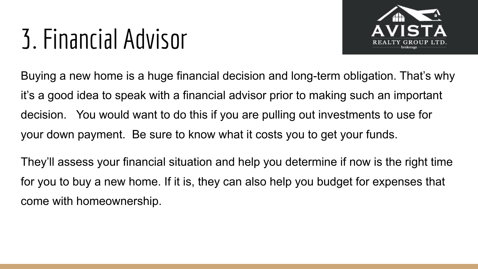#### 3. Financial Advisor



Buying a new home is a huge financial decision and long-term obligation. That's why it's a good idea to speak with a financial advisor prior to making such an important decision. You would want to do this if you are pulling out investments to use for your down payment. Be sure to know what it costs you to get your funds.

They'll assess your financial situation and help you determine if now is the right time for you to buy a new home. If it is, they can also help you budget for expenses that come with homeownership.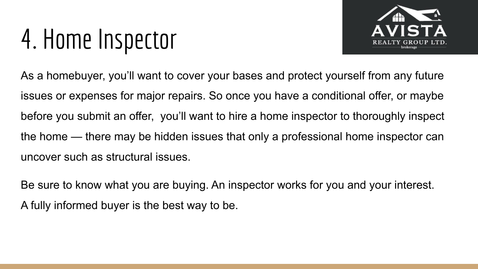#### 4. Home Inspector



As a homebuyer, you'll want to cover your bases and protect yourself from any future issues or expenses for major repairs. So once you have a conditional offer, or maybe before you submit an offer, you'll want to hire a home inspector to thoroughly inspect the home — there may be hidden issues that only a professional home inspector can uncover such as structural issues.

Be sure to know what you are buying. An inspector works for you and your interest. A fully informed buyer is the best way to be.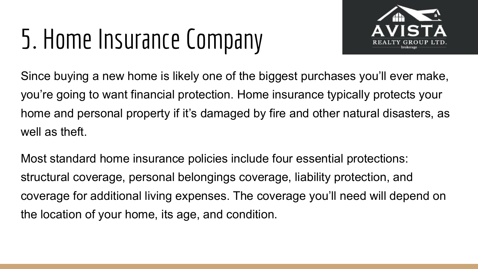## 5. Home Insurance Company



Since buying a new home is likely one of the biggest purchases you'll ever make, you're going to want financial protection. Home insurance typically protects your home and personal property if it's damaged by fire and other natural disasters, as well as theft.

Most standard home insurance policies include four essential protections: structural coverage, personal belongings coverage, liability protection, and coverage for additional living expenses. The coverage you'll need will depend on the location of your home, its age, and condition.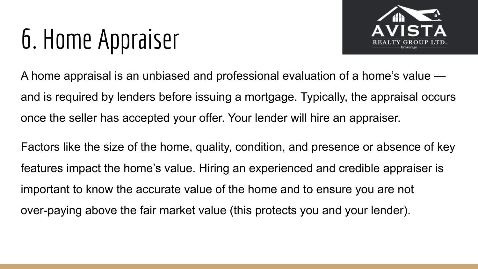## 6. Home Appraiser



A [home appraisal](https://www.homelight.com/blog/what-to-expect-from-a-home-appraisal/) is an unbiased and professional evaluation of a home's value and is required by lenders before issuing a mortgage. Typically, the appraisal occurs once the seller has accepted your offer. Your lender will hire an appraiser.

Factors like the size of the home, quality, condition, and presence or absence of key features impact the home's value. Hiring an experienced and credible appraiser is important to know the accurate value of the home and to ensure you are not over-paying above the fair market value (this protects you and your lender).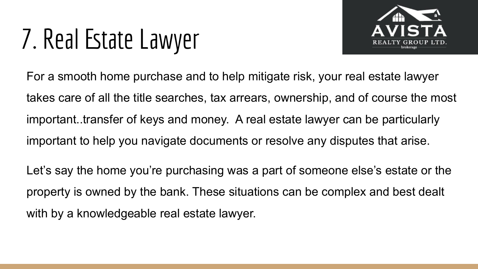## 7. Real Estate Lawyer



For a smooth home purchase and to help mitigate risk, your real estate lawyer takes care of all the title searches, tax arrears, ownership, and of course the most important..transfer of keys and money. A real estate lawyer can be particularly important to help you navigate documents or resolve any disputes that arise.

Let's say the home you're purchasing was a part of someone else's estate or the property is owned by the bank. These situations can be complex and best dealt with by a knowledgeable real estate lawyer.